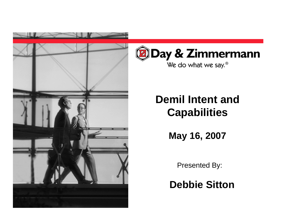



## **Demil Intent and Capabilities**

**May 16, 2007**

Presented By:

**Debbie Sitton**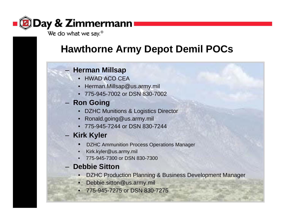

### **Hawthorne Army Depot Demil POCs**

#### **Herman Millsap**

- HWAD ACO CEA
- Herman.Millsap@us.army.mil
- 775-945-7002 or DSN 830-7002

#### **Ron Going**

- DZHC Munitions & Logistics Director
- Ronald.going@us.army.mil
- 775-945-7244 or DSN 830-7244

#### – Kirk Kyler

- •DZHC Ammunition Process Operations Manager
- •Kirk.kyler@us.army.mil
- •775-945-7300 or DSN 830-7300

#### **Debbie Sitton**

- •DZHC Production Planning & Business Development Manager
- Debbie.sitton@us.army.mil
- 775-945-7275 or DSN 830-7275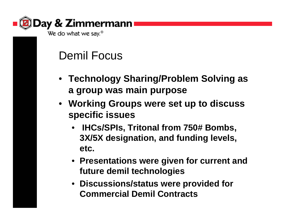

Demil Focus

- **Technology Sharing/Problem Solving as a group was main purpose**
- **Working Groups were set up to discuss specific issues**
	- • **IHCs/SPIs, Tritonal from 750# Bombs, 3X/5X designation, and funding levels, etc.**
	- **Presentations were given for current and future demil technologies**
	- **Discussions/status were provided for Commercial Demil Contracts**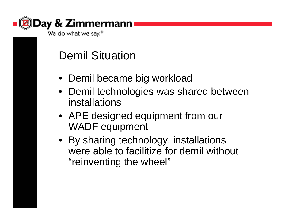

## Demil Situation

- Demil became big workload
- Demil technologies was shared between installations
- APE designed equipment from our WADF equipment
- By sharing technology, installations were able to facilitize for demil without "reinventing the wheel"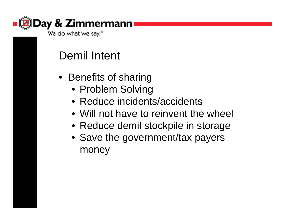

## Demil Intent

- Benefits of sharing
	- Problem Solving
	- Reduce incidents/accidents
	- Will not have to reinvent the wheel
	- Reduce demil stockpile in storage
	- Save the government/tax payers money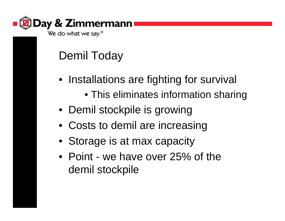

## Demil Today

- Installations are fighting for survival
	- This eliminates information sharing
- Demil stockpile is growing
- Costs to demil are increasing
- Storage is at max capacity
- Point we have over 25% of the demil stockpile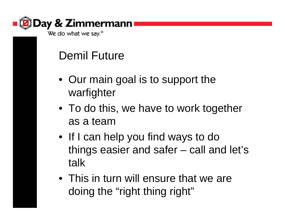

## Demil Future

- Our main goal is to support the warfighter
- To do this, we have to work together as a team
- If I can help you find ways to do things easier and safer – call and let's talk
- This in turn will ensure that we are doing the "right thing right"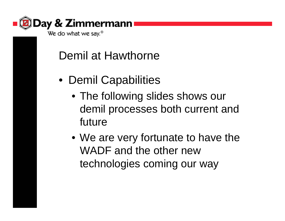

## Demil at Hawthorne

- Demil Capabilities
	- The following slides shows our demil processes both current and future
	- We are very fortunate to have the WADF and the other new technologies coming our way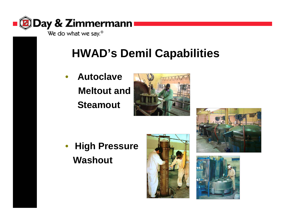

We do what we say.<sup>®</sup>

# **HWAD's Demil Capabilities**

• **AutoclaveMeltout andSteamout**



• **High Pressure Washout**





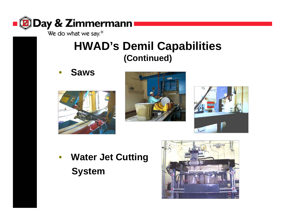

We do what we say.<sup>®</sup>

### **HWAD's Demil Capabilities (Continued)**

•**Saws**







• **Water Jet Cutting System**

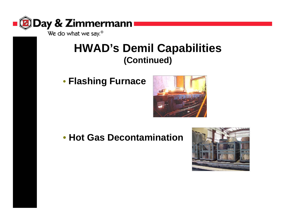

### **HWAD's Demil Capabilities (Continued)**

• **Flashing Furnace**



#### • **Hot Gas Decontamination**

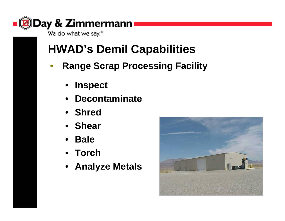

## **HWAD's Demil Capabilities**

- • **Range Scrap Processing Facility**
	- •**Inspect**
	- •**Decontaminate**
	- **Shred**
	- **Shear**
	- $\bullet$ **Bale**
	- **Torch**
	- **Analyze Metals**

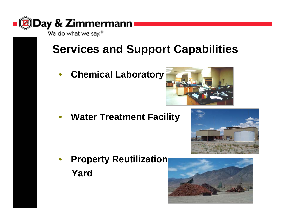

# **Services and Support Capabilities**

 $\bullet$ **Chemical Laboratory**



•**Water Treatment Facility**





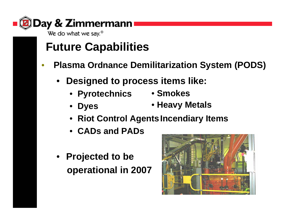

## **Future Capabilities**

- • **Plasma Ordnance Demilitarization System (PODS)**
	- **Designed to process items like:**
		- **Pyrotechnics**
- **Smokes**
- • **Dyes** • **Heavy Metals**
- **Riot Control AgentsIncendiary Items**
- **CADs and PADs**
- **Projected to be operational in 2007**

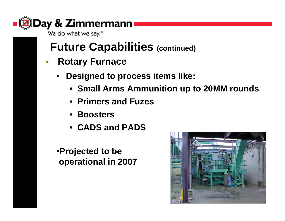

## **Future Capabilities (continued)**

- • **Rotary Furnace**
	- • **Designed to process items like:**
		- **Small Arms Ammunition up to 20MM rounds**
		- **Primers and Fuzes**
		- **Boosters**
		- **CADS and PADS**

•**Projected to be operational in 2007**

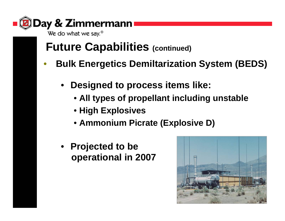

## **Future Capabilities (continued)**

- • **Bulk Energetics Demiltarization System (BEDS)**
	- • **Designed to process items like:**
		- **All types of propellant including unstable**
		- **High Explosives**
		- **Ammonium Picrate (Explosive D)**
	- **Projected to be operational in 2007**

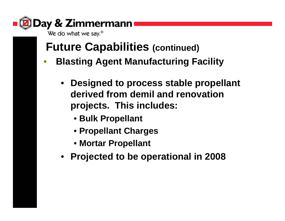

## **Future Capabilities (continued)**

- • **Blasting Agent Manufacturing Facility**
	- $\bullet$  **Designed to process stable propellant derived from demil and renovation projects. This includes:**
		- **Bulk Propellant**
		- **Propellant Charges**
		- **Mortar Propellant**
	- **Projected to be operational in 2008**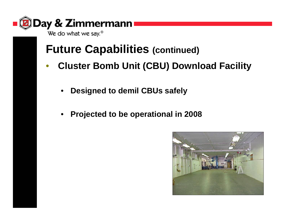

### **Future Capabilities (continued)**

- • **Cluster Bomb Unit (CBU) Download Facility**
	- •**Designed to demil CBUs safely**
	- •**Projected to be operational in 2008**